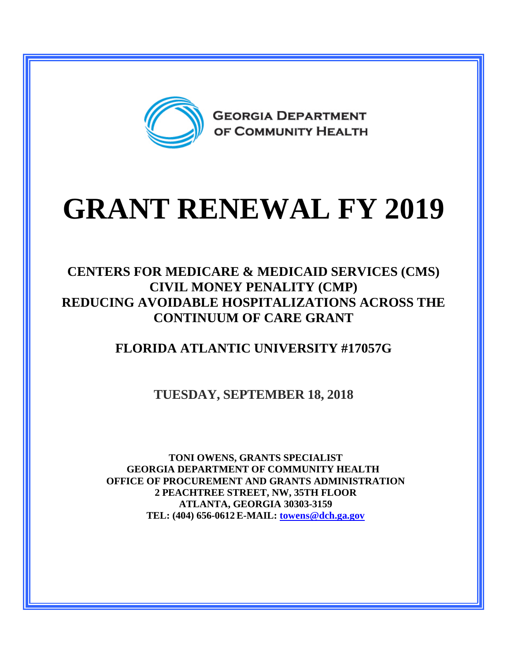

# **GRANT RENEWAL FY 2019**

#### **CENTERS FOR MEDICARE & MEDICAID SERVICES (CMS) CIVIL MONEY PENALITY (CMP) REDUCING AVOIDABLE HOSPITALIZATIONS ACROSS THE CONTINUUM OF CARE GRANT**

### **FLORIDA ATLANTIC UNIVERSITY #17057G**

#### **TUESDAY, SEPTEMBER 18, 2018**

**TONI OWENS, GRANTS SPECIALIST GEORGIA DEPARTMENT OF COMMUNITY HEALTH OFFICE OF PROCUREMENT AND GRANTS ADMINISTRATION 2 PEACHTREE STREET, NW, 35TH FLOOR ATLANTA, GEORGIA 30303-3159 TEL: (404) 656-0612 E-MAIL: [towens@dch.ga.gov](mailto:towens@dch.ga.gov)**